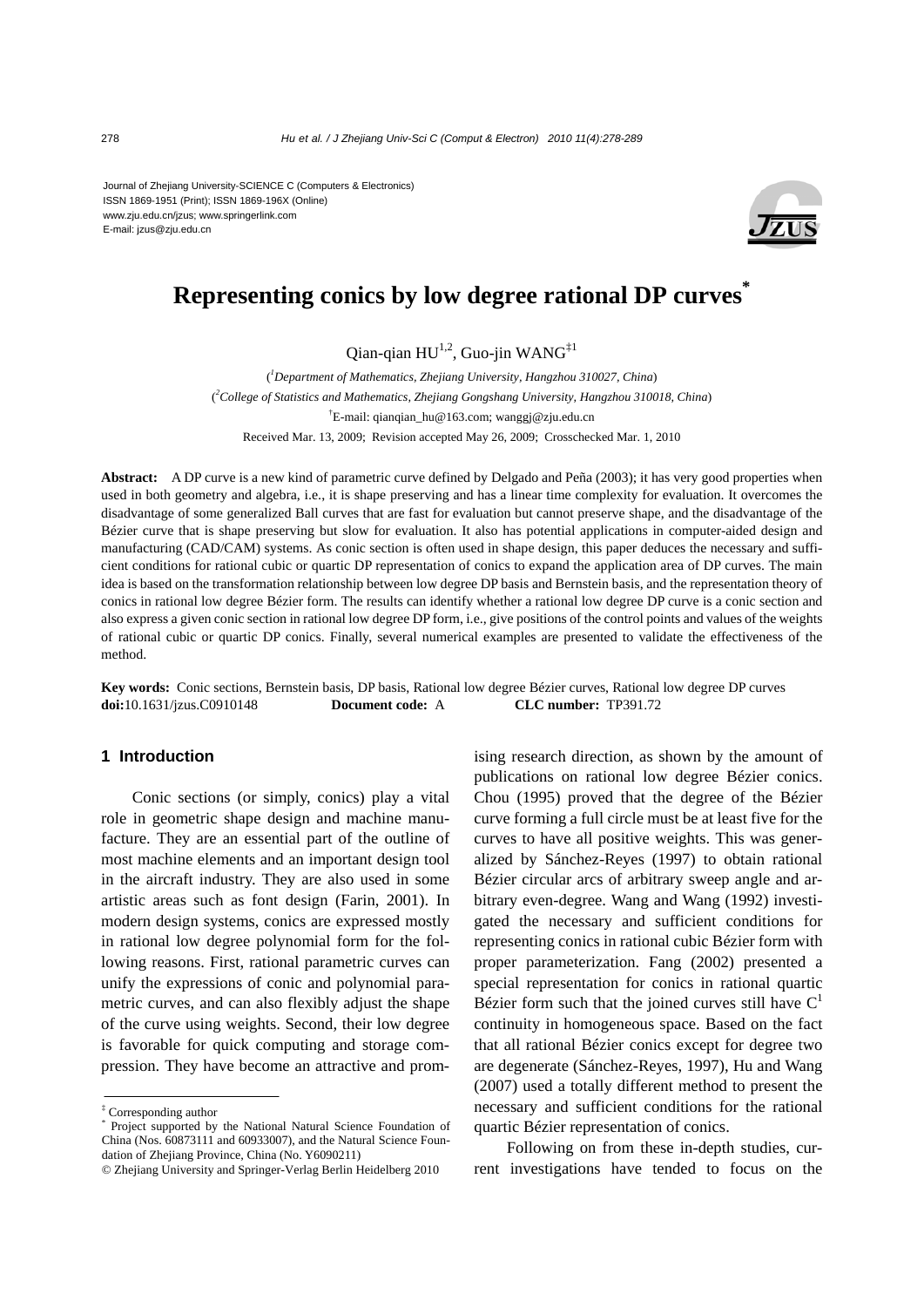Journal of Zhejiang University-SCIENCE C (Computers & Electronics) ISSN 1869-1951 (Print); ISSN 1869-196X (Online) www.zju.edu.cn/jzus; www.springerlink.com E-mail: jzus@zju.edu.cn



# **Representing conics by low degree rational DP curves\***

Qian-qian  $HU^{1,2}$ , Guo-jin WANG<sup> $\ddagger$ 1</sup>

( *1 Department of Mathematics, Zhejiang University, Hangzhou 310027, China*) ( *2 College of Statistics and Mathematics, Zhejiang Gongshang University, Hangzhou 310018, China*) † E-mail: qianqian\_hu@163.com; wanggj@zju.edu.cn Received Mar. 13, 2009; Revision accepted May 26, 2009; Crosschecked Mar. 1, 2010

**Abstract:** A DP curve is a new kind of parametric curve defined by Delgado and Peña (2003); it has very good properties when used in both geometry and algebra, i.e., it is shape preserving and has a linear time complexity for evaluation. It overcomes the disadvantage of some generalized Ball curves that are fast for evaluation but cannot preserve shape, and the disadvantage of the Bézier curve that is shape preserving but slow for evaluation. It also has potential applications in computer-aided design and manufacturing (CAD/CAM) systems. As conic section is often used in shape design, this paper deduces the necessary and sufficient conditions for rational cubic or quartic DP representation of conics to expand the application area of DP curves. The main idea is based on the transformation relationship between low degree DP basis and Bernstein basis, and the representation theory of conics in rational low degree Bézier form. The results can identify whether a rational low degree DP curve is a conic section and also express a given conic section in rational low degree DP form, i.e., give positions of the control points and values of the weights of rational cubic or quartic DP conics. Finally, several numerical examples are presented to validate the effectiveness of the method.

**Key words:** Conic sections, Bernstein basis, DP basis, Rational low degree Bézier curves, Rational low degree DP curves **doi:**10.1631/jzus.C0910148 **Document code:** A **CLC number:** TP391.72

#### **1 Introduction**

Conic sections (or simply, conics) play a vital role in geometric shape design and machine manufacture. They are an essential part of the outline of most machine elements and an important design tool in the aircraft industry. They are also used in some artistic areas such as font design (Farin, 2001). In modern design systems, conics are expressed mostly in rational low degree polynomial form for the following reasons. First, rational parametric curves can unify the expressions of conic and polynomial parametric curves, and can also flexibly adjust the shape of the curve using weights. Second, their low degree is favorable for quick computing and storage compression. They have become an attractive and promising research direction, as shown by the amount of publications on rational low degree Bézier conics. Chou (1995) proved that the degree of the Bézier curve forming a full circle must be at least five for the curves to have all positive weights. This was generalized by Sánchez-Reyes (1997) to obtain rational Bézier circular arcs of arbitrary sweep angle and arbitrary even-degree. Wang and Wang (1992) investigated the necessary and sufficient conditions for representing conics in rational cubic Bézier form with proper parameterization. Fang (2002) presented a special representation for conics in rational quartic Bézier form such that the joined curves still have  $C<sup>1</sup>$ continuity in homogeneous space. Based on the fact that all rational Bézier conics except for degree two are degenerate (Sánchez-Reyes, 1997), Hu and Wang (2007) used a totally different method to present the necessary and sufficient conditions for the rational quartic Bézier representation of conics.

Following on from these in-depth studies, current investigations have tended to focus on the

<sup>‡</sup> Corresponding author

<sup>\*</sup> Project supported by the National Natural Science Foundation of China (Nos. 60873111 and 60933007), and the Natural Science Foundation of Zhejiang Province, China (No. Y6090211)

<sup>©</sup> Zhejiang University and Springer-Verlag Berlin Heidelberg 2010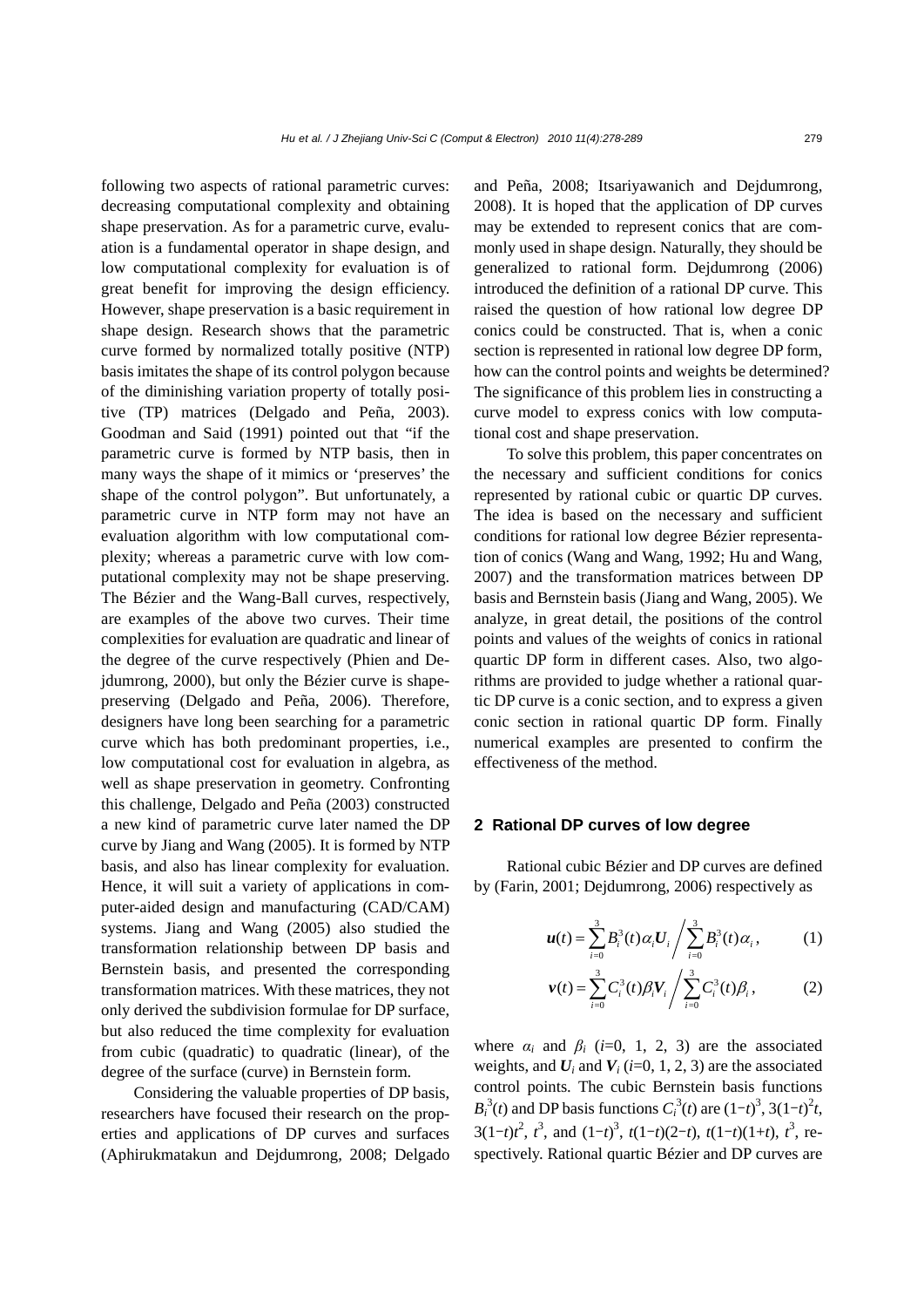following two aspects of rational parametric curves: decreasing computational complexity and obtaining shape preservation. As for a parametric curve, evaluation is a fundamental operator in shape design, and low computational complexity for evaluation is of great benefit for improving the design efficiency. However, shape preservation is a basic requirement in shape design. Research shows that the parametric curve formed by normalized totally positive (NTP) basis imitates the shape of its control polygon because of the diminishing variation property of totally positive (TP) matrices (Delgado and Peña, 2003). Goodman and Said (1991) pointed out that "if the parametric curve is formed by NTP basis, then in many ways the shape of it mimics or 'preserves' the shape of the control polygon". But unfortunately, a parametric curve in NTP form may not have an evaluation algorithm with low computational complexity; whereas a parametric curve with low computational complexity may not be shape preserving. The Bézier and the Wang-Ball curves, respectively, are examples of the above two curves. Their time complexities for evaluation are quadratic and linear of the degree of the curve respectively (Phien and Dejdumrong, 2000), but only the Bézier curve is shapepreserving (Delgado and Peña, 2006). Therefore, designers have long been searching for a parametric curve which has both predominant properties, i.e., low computational cost for evaluation in algebra, as well as shape preservation in geometry. Confronting this challenge, Delgado and Peña (2003) constructed a new kind of parametric curve later named the DP curve by Jiang and Wang (2005). It is formed by NTP basis, and also has linear complexity for evaluation. Hence, it will suit a variety of applications in computer-aided design and manufacturing (CAD/CAM) systems. Jiang and Wang (2005) also studied the transformation relationship between DP basis and Bernstein basis, and presented the corresponding transformation matrices. With these matrices, they not only derived the subdivision formulae for DP surface, but also reduced the time complexity for evaluation from cubic (quadratic) to quadratic (linear), of the degree of the surface (curve) in Bernstein form.

Considering the valuable properties of DP basis, researchers have focused their research on the properties and applications of DP curves and surfaces (Aphirukmatakun and Dejdumrong, 2008; Delgado and Peña, 2008; Itsariyawanich and Dejdumrong, 2008). It is hoped that the application of DP curves may be extended to represent conics that are commonly used in shape design. Naturally, they should be generalized to rational form. Dejdumrong (2006) introduced the definition of a rational DP curve. This raised the question of how rational low degree DP conics could be constructed. That is, when a conic section is represented in rational low degree DP form, how can the control points and weights be determined? The significance of this problem lies in constructing a curve model to express conics with low computational cost and shape preservation.

To solve this problem, this paper concentrates on the necessary and sufficient conditions for conics represented by rational cubic or quartic DP curves. The idea is based on the necessary and sufficient conditions for rational low degree Bézier representation of conics (Wang and Wang, 1992; Hu and Wang, 2007) and the transformation matrices between DP basis and Bernstein basis (Jiang and Wang, 2005). We analyze, in great detail, the positions of the control points and values of the weights of conics in rational quartic DP form in different cases. Also, two algorithms are provided to judge whether a rational quartic DP curve is a conic section, and to express a given conic section in rational quartic DP form. Finally numerical examples are presented to confirm the effectiveness of the method.

## **2 Rational DP curves of low degree**

Rational cubic Bézier and DP curves are defined by (Farin, 2001; Dejdumrong, 2006) respectively as

$$
\boldsymbol{u}(t) = \sum_{i=0}^{3} B_i^3(t) \alpha_i \boldsymbol{U}_i / \sum_{i=0}^{3} B_i^3(t) \alpha_i, \qquad (1)
$$

$$
\nu(t) = \sum_{i=0}^{3} C_i^3(t) \beta_i V_i / \sum_{i=0}^{3} C_i^3(t) \beta_i, \qquad (2)
$$

where  $\alpha_i$  and  $\beta_i$  (*i*=0, 1, 2, 3) are the associated weights, and  $U_i$  and  $V_i$  ( $i=0, 1, 2, 3$ ) are the associated control points. The cubic Bernstein basis functions *B*<sup> $3$ </sup>(*t*) and DP basis functions  $C_i^3(t)$  are  $(1-t)^3$ ,  $3(1-t)^2t$ ,  $3(1-t)t^2$ ,  $t^3$ , and  $(1-t)^3$ ,  $t(1-t)(2-t)$ ,  $t(1-t)(1+t)$ ,  $t^3$ , respectively. Rational quartic Bézier and DP curves are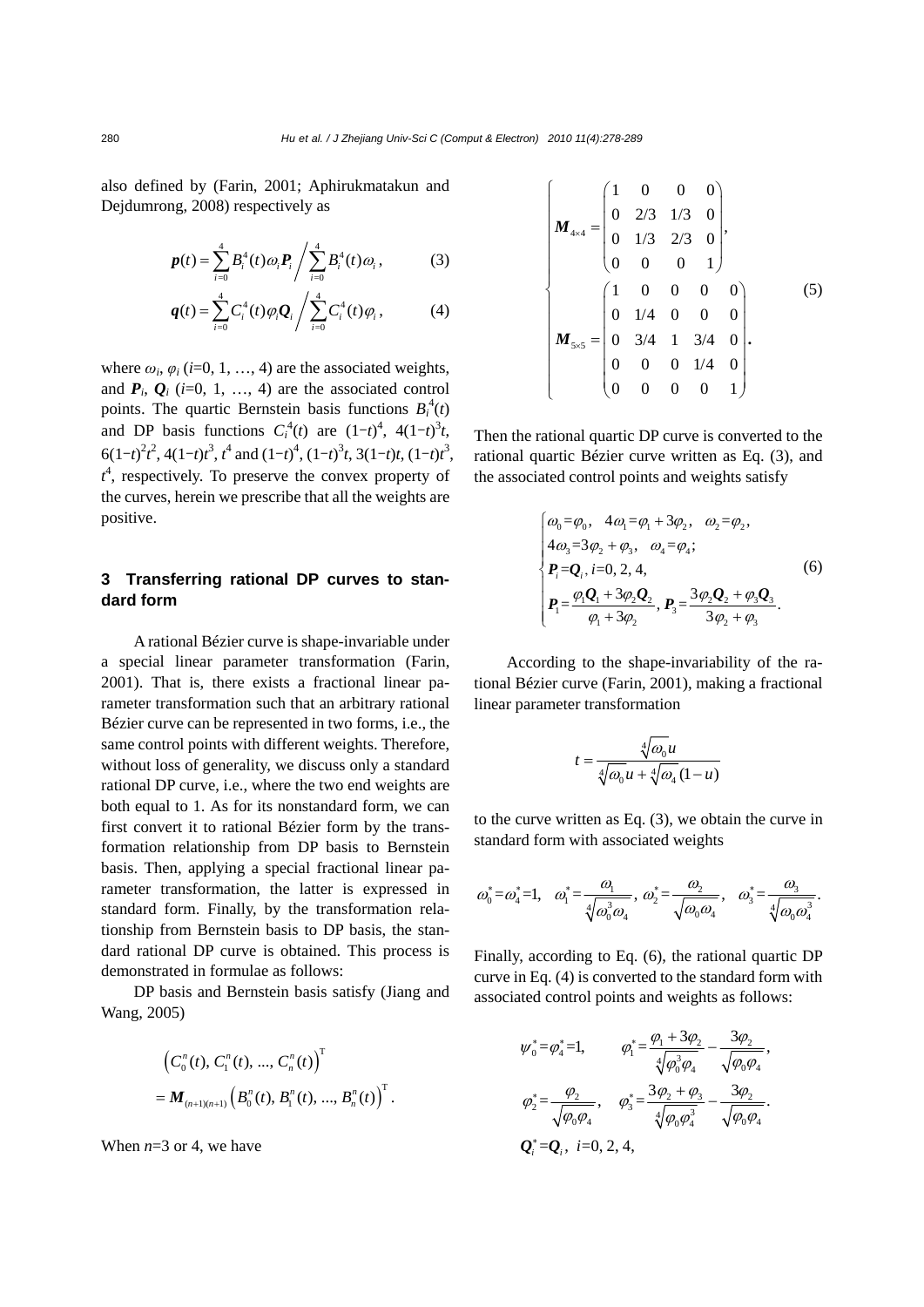also defined by (Farin, 2001; Aphirukmatakun and Dejdumrong, 2008) respectively as

$$
\boldsymbol{p}(t) = \sum_{i=0}^{4} B_i^4(t) \omega_i \boldsymbol{P}_i / \sum_{i=0}^{4} B_i^4(t) \omega_i, \qquad (3)
$$

$$
\boldsymbol{q}(t) = \sum_{i=0}^{4} C_i^4(t) \varphi_i \boldsymbol{Q}_i / \sum_{i=0}^{4} C_i^4(t) \varphi_i, \qquad (4)
$$

where  $\omega_i$ ,  $\varphi_i$  (*i*=0, 1, …, 4) are the associated weights, and  $P_i$ ,  $Q_i$  ( $i=0, 1, ..., 4$ ) are the associated control points. The quartic Bernstein basis functions  $B_i^4(t)$ and DP basis functions  $C_i^4(t)$  are  $(1-t)^4$ ,  $4(1-t)^3t$ ,  $6(1-t)^{2}t^{2}$ ,  $4(1-t)t^{3}$ ,  $t^{4}$  and  $(1-t)^{4}$ ,  $(1-t)^{3}t$ ,  $3(1-t)t$ ,  $(1-t)t^{3}$ ,  $t<sup>4</sup>$ , respectively. To preserve the convex property of the curves, herein we prescribe that all the weights are positive.

## **3 Transferring rational DP curves to standard form**

A rational Bézier curve is shape-invariable under a special linear parameter transformation (Farin, 2001). That is, there exists a fractional linear parameter transformation such that an arbitrary rational Bézier curve can be represented in two forms, i.e., the same control points with different weights. Therefore, without loss of generality, we discuss only a standard rational DP curve, i.e., where the two end weights are both equal to 1. As for its nonstandard form, we can first convert it to rational Bézier form by the transformation relationship from DP basis to Bernstein basis. Then, applying a special fractional linear parameter transformation, the latter is expressed in standard form. Finally, by the transformation relationship from Bernstein basis to DP basis, the standard rational DP curve is obtained. This process is demonstrated in formulae as follows:

DP basis and Bernstein basis satisfy (Jiang and Wang, 2005)

$$
\left(C_0^n(t), C_1^n(t), ..., C_n^n(t)\right)^T
$$
  
=  $\mathbf{M}_{(n+1)(n+1)}\left(B_0^n(t), B_1^n(t), ..., B_n^n(t)\right)^T$ .

When  $n=3$  or 4, we have

$$
\mathbf{M}_{4\times4} = \begin{pmatrix} 1 & 0 & 0 & 0 \\ 0 & 2/3 & 1/3 & 0 \\ 0 & 1/3 & 2/3 & 0 \\ 0 & 0 & 0 & 1 \end{pmatrix},
$$

$$
\mathbf{M}_{5\times5} = \begin{pmatrix} 1 & 0 & 0 & 0 & 0 \\ 0 & 1/4 & 0 & 0 & 0 \\ 0 & 3/4 & 1 & 3/4 & 0 \\ 0 & 0 & 0 & 1/4 & 0 \\ 0 & 0 & 0 & 0 & 1 \end{pmatrix}.
$$
(5)

Then the rational quartic DP curve is converted to the rational quartic Bézier curve written as Eq. (3), and the associated control points and weights satisfy

$$
\begin{cases}\n\omega_0 = \varphi_0, & 4\omega_1 = \varphi_1 + 3\varphi_2, & \omega_2 = \varphi_2, \\
4\omega_3 = 3\varphi_2 + \varphi_3, & \omega_4 = \varphi_4; \\
P_i = \mathbf{Q}_i, i = 0, 2, 4, & (6) \\
P_1 = \frac{\varphi_1 \mathbf{Q}_1 + 3\varphi_2 \mathbf{Q}_2}{\varphi_1 + 3\varphi_2}, & P_3 = \frac{3\varphi_2 \mathbf{Q}_2 + \varphi_3 \mathbf{Q}_3}{3\varphi_2 + \varphi_3}.\n\end{cases}
$$

According to the shape-invariability of the rational Bézier curve (Farin, 2001), making a fractional linear parameter transformation

$$
t = \frac{\sqrt[4]{\omega_0}u}{\sqrt[4]{\omega_0}u + \sqrt[4]{\omega_4}(1-u)}
$$

to the curve written as Eq. (3), we obtain the curve in standard form with associated weights

$$
\omega_0^* = \omega_4^* = 1, \quad \omega_1^* = \frac{\omega_1}{\sqrt[4]{\omega_0^3 \omega_4}}, \quad \omega_2^* = \frac{\omega_2}{\sqrt{\omega_0 \omega_4}}, \quad \omega_3^* = \frac{\omega_3}{\sqrt[4]{\omega_0 \omega_4^3}}.
$$

Finally, according to Eq. (6), the rational quartic DP curve in Eq. (4) is converted to the standard form with associated control points and weights as follows:

$$
\psi_0^* = \varphi_4^* = 1, \qquad \varphi_1^* = \frac{\varphi_1 + 3\varphi_2}{\sqrt[4]{\varphi_0^3 \varphi_4}} - \frac{3\varphi_2}{\sqrt{\varphi_0 \varphi_4}},
$$
  

$$
\varphi_2^* = \frac{\varphi_2}{\sqrt{\varphi_0 \varphi_4}}, \qquad \varphi_3^* = \frac{3\varphi_2 + \varphi_3}{\sqrt[4]{\varphi_0 \varphi_4^3}} - \frac{3\varphi_2}{\sqrt{\varphi_0 \varphi_4}}.
$$
  

$$
\mathbf{Q}_i^* = \mathbf{Q}_i, \quad i = 0, 2, 4,
$$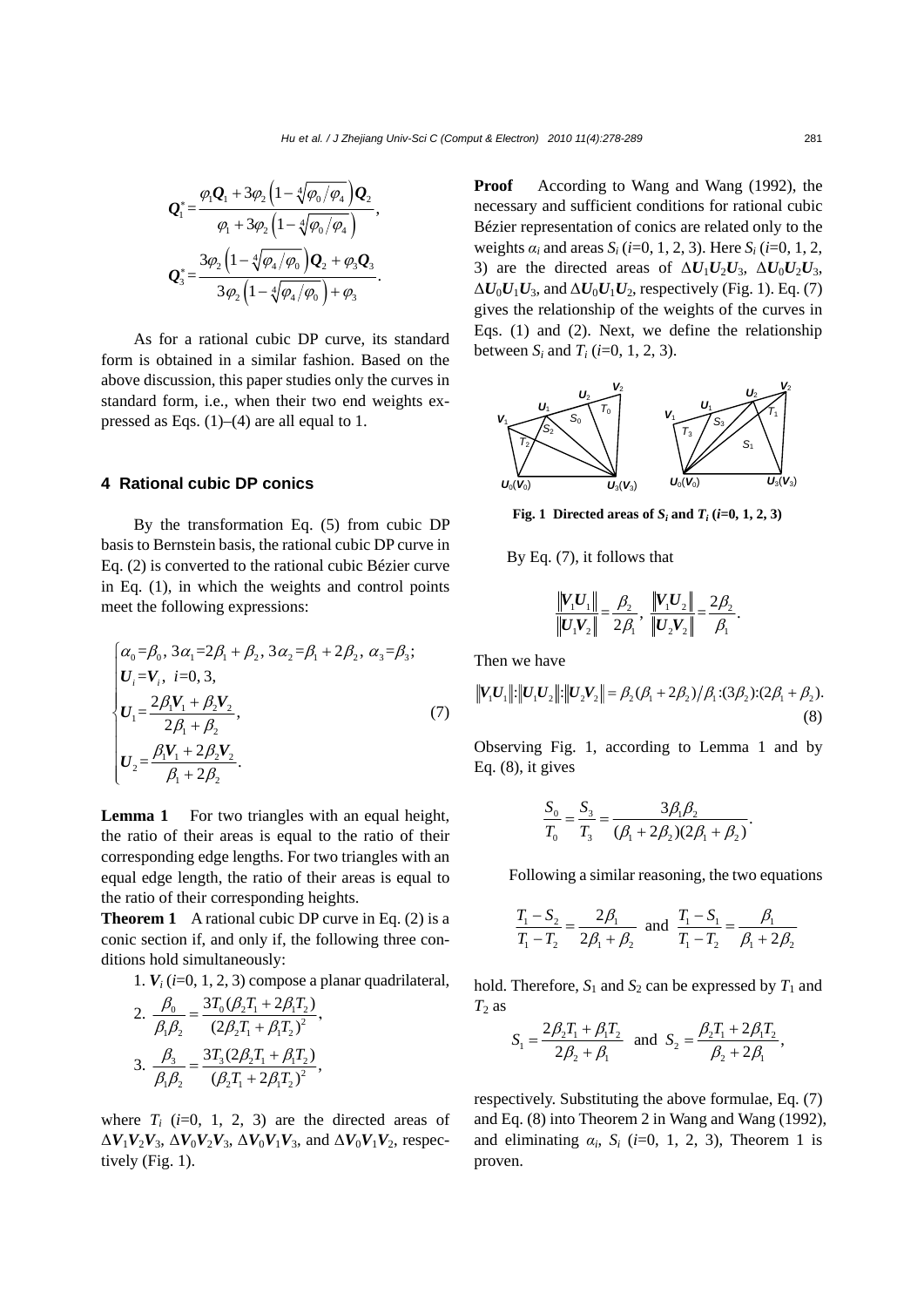$$
\begin{aligned}\n\mathbf{Q}_{1}^{*} &= \frac{\varphi_{1}\mathbf{Q}_{1} + 3\varphi_{2}\left(1 - \sqrt[4]{\varphi_{0}/\varphi_{4}}\right)\mathbf{Q}_{2}}{\varphi_{1} + 3\varphi_{2}\left(1 - \sqrt[4]{\varphi_{0}/\varphi_{4}}\right)}, \\
\mathbf{Q}_{3}^{*} &= \frac{3\varphi_{2}\left(1 - \sqrt[4]{\varphi_{4}/\varphi_{0}}\right)\mathbf{Q}_{2} + \varphi_{3}\mathbf{Q}_{3}}{3\varphi_{2}\left(1 - \sqrt[4]{\varphi_{4}/\varphi_{0}}\right) + \varphi_{3}}.\n\end{aligned}
$$

As for a rational cubic DP curve, its standard form is obtained in a similar fashion. Based on the above discussion, this paper studies only the curves in standard form, i.e., when their two end weights expressed as Eqs.  $(1)$ – $(4)$  are all equal to 1.

#### **4 Rational cubic DP conics**

By the transformation Eq. (5) from cubic DP basis to Bernstein basis, the rational cubic DP curve in Eq. (2) is converted to the rational cubic Bézier curve in Eq. (1), in which the weights and control points meet the following expressions:

$$
\begin{cases}\n\alpha_0 = \beta_0, 3\alpha_1 = 2\beta_1 + \beta_2, 3\alpha_2 = \beta_1 + 2\beta_2, \alpha_3 = \beta_3; \\
U_i = V_i, \quad i = 0, 3, \\
U_1 = \frac{2\beta_1 V_1 + \beta_2 V_2}{2\beta_1 + \beta_2}, \\
U_2 = \frac{\beta_1 V_1 + 2\beta_2 V_2}{\beta_1 + 2\beta_2}.\n\end{cases} (7)
$$

Lemma 1 For two triangles with an equal height, the ratio of their areas is equal to the ratio of their corresponding edge lengths. For two triangles with an equal edge length, the ratio of their areas is equal to the ratio of their corresponding heights.

**Theorem 1** A rational cubic DP curve in Eq. (2) is a conic section if, and only if, the following three conditions hold simultaneously:

1.  $V_i$  ( $i=0, 1, 2, 3$ ) compose a planar quadrilateral,

2. 
$$
\frac{\beta_0}{\beta_1 \beta_2} = \frac{3T_0(\beta_2 T_1 + 2\beta_1 T_2)}{(2\beta_2 T_1 + \beta_1 T_2)^2},
$$
  
3. 
$$
\frac{\beta_3}{\beta_1 \beta_2} = \frac{3T_3(2\beta_2 T_1 + \beta_1 T_2)}{(\beta_2 T_1 + 2\beta_1 T_2)^2},
$$

where  $T_i$  ( $i=0$ , 1, 2, 3) are the directed areas of  $\Delta V_1 V_2 V_3$ ,  $\Delta V_0 V_2 V_3$ ,  $\Delta V_0 V_1 V_3$ , and  $\Delta V_0 V_1 V_2$ , respectively (Fig. 1).

**Proof** According to Wang and Wang (1992), the necessary and sufficient conditions for rational cubic Bézier representation of conics are related only to the weights  $\alpha_i$  and areas  $S_i$  (*i*=0, 1, 2, 3). Here  $S_i$  (*i*=0, 1, 2, 3) are the directed areas of  $\Delta U_1 U_2 U_3$ ,  $\Delta U_0 U_2 U_3$ ,  $\Delta U_0 U_1 U_3$ , and  $\Delta U_0 U_1 U_2$ , respectively (Fig. 1). Eq. (7) gives the relationship of the weights of the curves in Eqs. (1) and (2). Next, we define the relationship between  $S_i$  and  $T_i$  (*i*=0, 1, 2, 3).



**Fig. 1 Directed areas of**  $S_i$  **and**  $T_i$  **(** $i=0, 1, 2, 3$ **)** 

By Eq. (7), it follows that

$$
\frac{\|\mathbf{V}_{1}\mathbf{U}_{1}\|}{\|\mathbf{U}_{1}\mathbf{V}_{2}\|} = \frac{\beta_{2}}{2\beta_{1}}, \frac{\|\mathbf{V}_{1}\mathbf{U}_{2}\|}{\|\mathbf{U}_{2}\mathbf{V}_{2}\|} = \frac{2\beta_{2}}{\beta_{1}}.
$$

Then we have

$$
\|\mathbf{V}_1 \mathbf{U}_1\| \cdot \|\mathbf{U}_1 \mathbf{U}_2\| \cdot \|\mathbf{U}_2 \mathbf{V}_2\| = \beta_2 (\beta_1 + 2\beta_2) / \beta_1 \cdot (3\beta_2) \cdot (2\beta_1 + \beta_2).
$$
\n(8)

Observing Fig. 1, according to Lemma 1 and by Eq. (8), it gives

$$
\frac{S_0}{T_0} = \frac{S_3}{T_3} = \frac{3\beta_1\beta_2}{(\beta_1 + 2\beta_2)(2\beta_1 + \beta_2)}.
$$

Following a similar reasoning, the two equations

$$
\frac{T_1 - S_2}{T_1 - T_2} = \frac{2\beta_1}{2\beta_1 + \beta_2}
$$
 and 
$$
\frac{T_1 - S_1}{T_1 - T_2} = \frac{\beta_1}{\beta_1 + 2\beta_2}
$$

hold. Therefore,  $S_1$  and  $S_2$  can be expressed by  $T_1$  and  $T_2$  as

$$
S_1 = \frac{2\beta_2 T_1 + \beta_1 T_2}{2\beta_2 + \beta_1} \text{ and } S_2 = \frac{\beta_2 T_1 + 2\beta_1 T_2}{\beta_2 + 2\beta_1},
$$

respectively. Substituting the above formulae, Eq. (7) and Eq. (8) into Theorem 2 in Wang and Wang (1992), and eliminating  $\alpha_i$ ,  $S_i$  (*i*=0, 1, 2, 3), Theorem 1 is proven.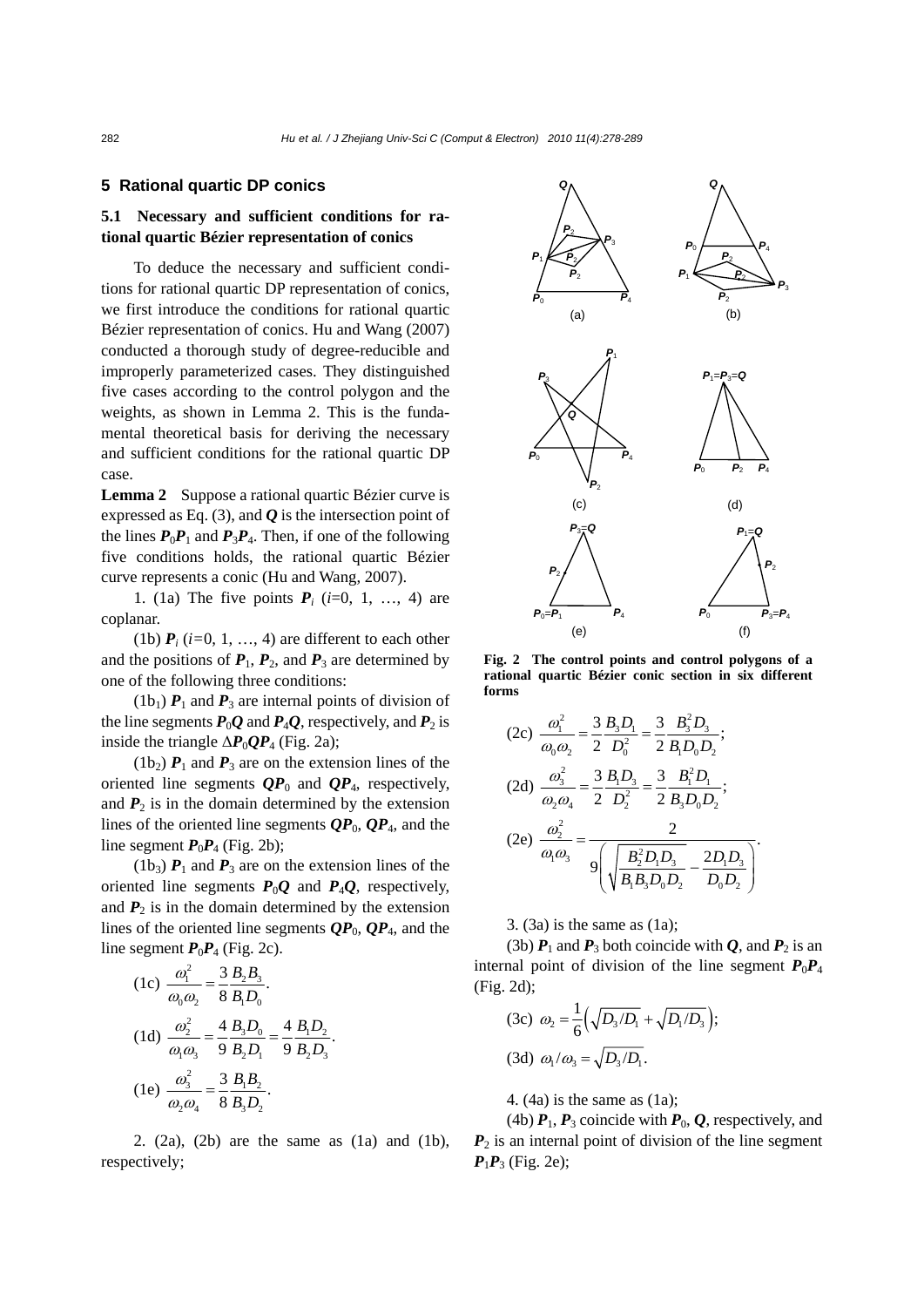#### **5 Rational quartic DP conics**

#### **5.1 Necessary and sufficient conditions for rational quartic Bézier representation of conics**

To deduce the necessary and sufficient conditions for rational quartic DP representation of conics, we first introduce the conditions for rational quartic Bézier representation of conics. Hu and Wang (2007) conducted a thorough study of degree-reducible and improperly parameterized cases. They distinguished five cases according to the control polygon and the weights, as shown in Lemma 2. This is the fundamental theoretical basis for deriving the necessary and sufficient conditions for the rational quartic DP case.

**Lemma 2** Suppose a rational quartic Bézier curve is expressed as Eq.  $(3)$ , and  $Q$  is the intersection point of the lines  $P_0P_1$  and  $P_3P_4$ . Then, if one of the following five conditions holds, the rational quartic Bézier curve represents a conic (Hu and Wang, 2007).

1. (1a) The five points  $P_i$  ( $i=0, 1, ..., 4$ ) are coplanar.

(1b)  $P_i$  ( $i=0, 1, ..., 4$ ) are different to each other and the positions of  $P_1$ ,  $P_2$ , and  $P_3$  are determined by one of the following three conditions:

 $(1b_1)$   $\mathbf{P}_1$  and  $\mathbf{P}_3$  are internal points of division of the line segments  $P_0Q$  and  $P_4Q$ , respectively, and  $P_2$  is inside the triangle  $\Delta P_0 Q P_4$  (Fig. 2a);

 $(1b_2)$   $\mathbf{P}_1$  and  $\mathbf{P}_3$  are on the extension lines of the oriented line segments  $QP_0$  and  $QP_4$ , respectively, and  $P_2$  is in the domain determined by the extension lines of the oriented line segments  $QP_0$ ,  $QP_4$ , and the line segment  $P_0P_4$  (Fig. 2b);

 $(1b_3)$   $\mathbf{P}_1$  and  $\mathbf{P}_3$  are on the extension lines of the oriented line segments  $P_0Q$  and  $P_4Q$ , respectively, and  $P_2$  is in the domain determined by the extension lines of the oriented line segments  $QP_0$ ,  $QP_4$ , and the line segment  $P_0P_4$  (Fig. 2c).

(1c) 
$$
\frac{\omega_1^2}{\omega_0 \omega_2} = \frac{3}{8} \frac{B_2 B_3}{B_1 D_0}.
$$
  
(1d) 
$$
\frac{\omega_2^2}{\omega_1 \omega_3} = \frac{4}{9} \frac{B_3 D_0}{B_2 D_1} = \frac{4}{9} \frac{B_1 D_2}{B_2 D_3}.
$$
  
(1e) 
$$
\frac{\omega_3^2}{\omega_2 \omega_4} = \frac{3}{8} \frac{B_1 B_2}{B_3 D_2}.
$$

2. (2a), (2b) are the same as (1a) and (1b), respectively;



**Fig. 2 The control points and control polygons of a rational quartic Bézier conic section in six different forms** 

(2c) 
$$
\frac{\omega_1^2}{\omega_0 \omega_2} = \frac{3}{2} \frac{B_3 D_1}{D_0^2} = \frac{3}{2} \frac{B_3^2 D_3}{B_1 D_0 D_2};
$$
  
(2d) 
$$
\frac{\omega_3^2}{\omega_2 \omega_4} = \frac{3}{2} \frac{B_1 D_3}{D_2^2} = \frac{3}{2} \frac{B_1^2 D_1}{B_3 D_0 D_2};
$$
  
(2e) 
$$
\frac{\omega_2^2}{\omega_1 \omega_3} = \frac{2}{9 \left( \sqrt{\frac{B_2^2 D_1 D_3}{B_1 B_3 D_0 D_2} - \frac{2D_1 D_3}{D_0 D_2}} \right)}.
$$

3. (3a) is the same as (1a);

(3b)  $P_1$  and  $P_3$  both coincide with *Q*, and  $P_2$  is an internal point of division of the line segment  $P_0P_4$ (Fig. 2d);

(3c) 
$$
\omega_2 = \frac{1}{6} \left( \sqrt{D_3/D_1} + \sqrt{D_1/D_3} \right);
$$
  
(3d)  $\omega_1/\omega_3 = \sqrt{D_3/D_1}.$ 

4. (4a) is the same as (1a);

(4b)  $P_1$ ,  $P_3$  coincide with  $P_0$ ,  $Q$ , respectively, and  $P_2$  is an internal point of division of the line segment  $P_1P_3$  (Fig. 2e);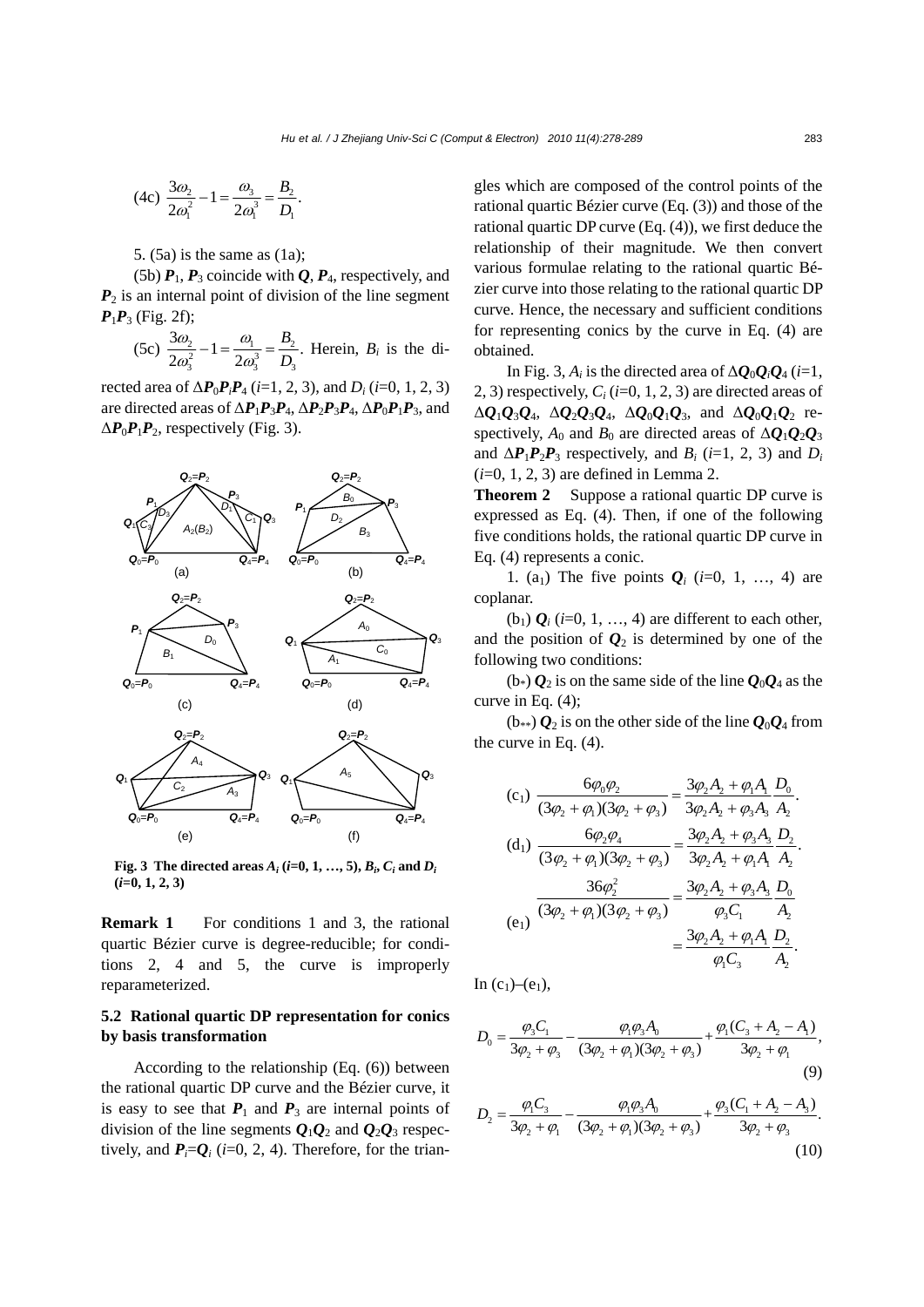(4c) 
$$
\frac{3\omega_2}{2\omega_1^2} - 1 = \frac{\omega_3}{2\omega_1^3} = \frac{B_2}{D_1}.
$$

5. (5a) is the same as (1a);

(5b)  $P_1$ ,  $P_3$  coincide with  $Q$ ,  $P_4$ , respectively, and  $P_2$  is an internal point of division of the line segment  $P_1P_3$  (Fig. 2f);

(5c) 
$$
\frac{3\omega_2}{2\omega_3^2} - 1 = \frac{\omega_1}{2\omega_3^3} = \frac{B_2}{D_3}
$$
. Herein,  $B_i$  is the di-

rected area of  $\Delta P_0 P_i P_4$  (*i*=1, 2, 3), and *D<sub>i</sub>* (*i*=0, 1, 2, 3) are directed areas of  $\Delta P_1 P_3 P_4$ ,  $\Delta P_2 P_3 P_4$ ,  $\Delta P_0 P_1 P_3$ , and  $\Delta P_0 P_1 P_2$ , respectively (Fig. 3).



**Fig. 3** The directed areas  $A_i$  ( $i=0, 1, ..., 5$ ),  $B_i$ ,  $C_i$  and  $D_i$  $(i=0, 1, 2, 3)$ 

**Remark 1** For conditions 1 and 3, the rational quartic Bézier curve is degree-reducible; for conditions 2, 4 and 5, the curve is improperly reparameterized.

## **5.2 Rational quartic DP representation for conics by basis transformation**

According to the relationship (Eq. (6)) between the rational quartic DP curve and the Bézier curve, it is easy to see that  $P_1$  and  $P_3$  are internal points of division of the line segments  $Q_1Q_2$  and  $Q_2Q_3$  respectively, and  $P_i = Q_i$  (*i*=0, 2, 4). Therefore, for the triangles which are composed of the control points of the rational quartic Bézier curve (Eq. (3)) and those of the rational quartic DP curve (Eq. (4)), we first deduce the relationship of their magnitude. We then convert various formulae relating to the rational quartic Bézier curve into those relating to the rational quartic DP curve. Hence, the necessary and sufficient conditions for representing conics by the curve in Eq. (4) are obtained.

In Fig. 3,  $A_i$  is the directed area of  $\Delta Q_0 Q_i Q_4$  (*i*=1, 2, 3) respectively,  $C_i$  ( $i=0, 1, 2, 3$ ) are directed areas of Δ*Q*1*Q*3*Q*4, Δ*Q*2*Q*3*Q*4, Δ*Q*0*Q*1*Q*3, and Δ*Q*0*Q*1*Q*2 respectively,  $A_0$  and  $B_0$  are directed areas of  $\Delta Q_1 Q_2 Q_3$ and  $\Delta P_1 P_2 P_3$  respectively, and  $B_i$  (*i*=1, 2, 3) and  $D_i$ (*i*=0, 1, 2, 3) are defined in Lemma 2.

**Theorem 2** Suppose a rational quartic DP curve is expressed as Eq. (4). Then, if one of the following five conditions holds, the rational quartic DP curve in Eq. (4) represents a conic.

1. (a<sub>1</sub>) The five points  $Q_i$  (*i*=0, 1, ..., 4) are coplanar.

 $(b_1)$   $Q_i$  (*i*=0, 1, ..., 4) are different to each other, and the position of  $Q_2$  is determined by one of the following two conditions:

 $(b*)$   $Q_2$  is on the same side of the line  $Q_0Q_4$  as the curve in Eq. (4);

 $(b_{**})$   $Q_2$  is on the other side of the line  $Q_0Q_4$  from the curve in Eq. (4).

(c<sub>1</sub>) 
$$
\frac{6\varphi_0 \varphi_2}{(3\varphi_2 + \varphi_1)(3\varphi_2 + \varphi_3)} = \frac{3\varphi_2 A_2 + \varphi_1 A_1}{3\varphi_2 A_2 + \varphi_3 A_3} \frac{D_0}{A_2}.
$$
  
(d<sub>1</sub>) 
$$
\frac{6\varphi_2 \varphi_4}{(3\varphi_2 + \varphi_1)(3\varphi_2 + \varphi_3)} = \frac{3\varphi_2 A_2 + \varphi_3 A_3}{3\varphi_2 A_2 + \varphi_1 A_1} \frac{D_2}{A_2}.
$$

$$
\frac{36\varphi_2^2}{(3\varphi_2 + \varphi_1)(3\varphi_2 + \varphi_3)} = \frac{3\varphi_2 A_2 + \varphi_3 A_3}{\varphi_3 C_1} \frac{D_0}{A_2}.
$$

$$
= \frac{3\varphi_2 A_2 + \varphi_1 A_1}{\varphi_1 C_3} \frac{D_2}{A_2}.
$$

In  $(c_1)$ – $(e_1)$ ,

$$
D_0 = \frac{\varphi_3 C_1}{3\varphi_2 + \varphi_3} - \frac{\varphi_1 \varphi_3 A_0}{(3\varphi_2 + \varphi_1)(3\varphi_2 + \varphi_3)} + \frac{\varphi_1 (C_3 + A_2 - A_1)}{3\varphi_2 + \varphi_1},
$$
\n(9)

$$
D_2 = \frac{\varphi_1 C_3}{3\varphi_2 + \varphi_1} - \frac{\varphi_1 \varphi_3 A_0}{(3\varphi_2 + \varphi_1)(3\varphi_2 + \varphi_3)} + \frac{\varphi_3 (C_1 + A_2 - A_3)}{3\varphi_2 + \varphi_3}.
$$
\n(10)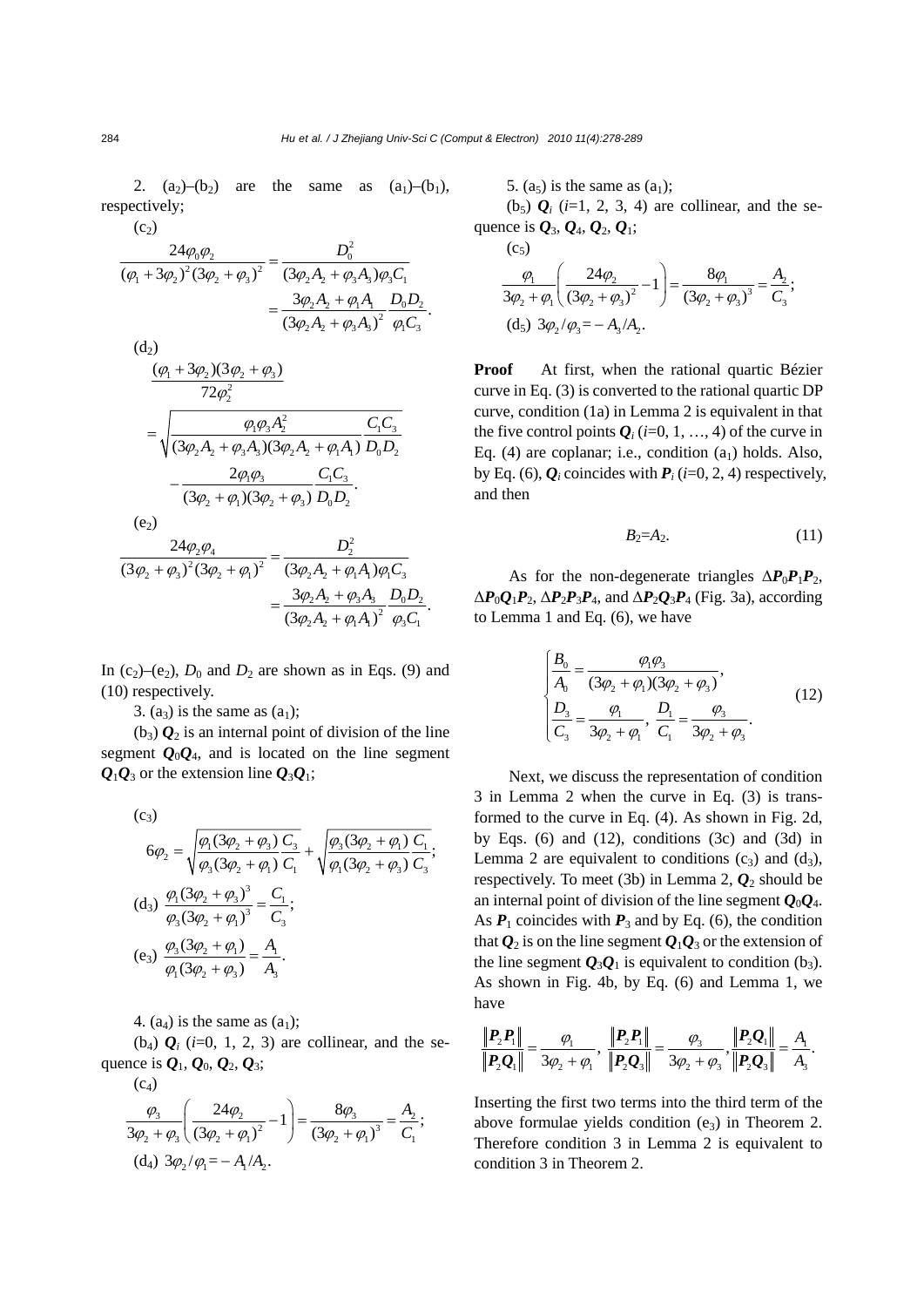2.  $(a_2)$ – $(b_2)$  are the same as  $(a_1)$ – $(b_1)$ , respectively;

(c<sub>2</sub>)  
\n
$$
\frac{24\varphi_0\varphi_2}{(\varphi_1 + 3\varphi_2)^2 (3\varphi_2 + \varphi_3)^2} = \frac{D_0^2}{(3\varphi_2 A_2 + \varphi_3 A_3)\varphi_3 C_1}
$$
\n
$$
= \frac{3\varphi_2 A_2 + \varphi_1 A_1}{(3\varphi_2 A_2 + \varphi_3 A_3)^2} \frac{D_0 D_2}{\varphi_1 C_3}.
$$
\n(d<sub>2</sub>)

$$
\frac{(\varphi_1 + 3\varphi_2)(3\varphi_2 + \varphi_3)}{72\varphi_2^2}
$$
\n
$$
= \sqrt{\frac{\varphi_1 \varphi_3 A_2^2}{(3\varphi_2 A_2 + \varphi_3 A_3)(3\varphi_2 A_2 + \varphi_1 A_1)} \frac{C_1 C_3}{D_0 D_2}}
$$
\n
$$
-\frac{2\varphi_1 \varphi_3}{(3\varphi_2 + \varphi_1)(3\varphi_2 + \varphi_3)} \frac{C_1 C_3}{D_0 D_2}.
$$

(e<sub>2</sub>)  
\n
$$
\frac{24\varphi_2\varphi_4}{(3\varphi_2 + \varphi_3)^2 (3\varphi_2 + \varphi_1)^2} = \frac{D_2^2}{(3\varphi_2A_2 + \varphi_1A_1)\varphi_1C_3}
$$
\n
$$
= \frac{3\varphi_2A_2 + \varphi_3A_3}{(3\varphi_2A_2 + \varphi_1A_1)^2} \frac{D_0D_2}{\varphi_3C_1}.
$$

In  $(c_2)$ – $(e_2)$ ,  $D_0$  and  $D_2$  are shown as in Eqs. (9) and (10) respectively.

3.  $(a_3)$  is the same as  $(a_1)$ ;

 $(b_3)$   $Q_2$  is an internal point of division of the line segment  $Q_0Q_4$ , and is located on the line segment  $Q_1Q_3$  or the extension line  $Q_3Q_1$ ;

(c<sub>3</sub>)  
\n
$$
6\varphi_2 = \sqrt{\frac{\varphi_1(3\varphi_2 + \varphi_3) C_3}{\varphi_3(3\varphi_2 + \varphi_1) C_1}} + \sqrt{\frac{\varphi_3(3\varphi_2 + \varphi_1) C_1}{\varphi_1(3\varphi_2 + \varphi_3) C_3}};
$$
\n(d<sub>3</sub>)  
\n
$$
\frac{\varphi_1(3\varphi_2 + \varphi_3)^3}{\varphi_3(3\varphi_2 + \varphi_1)^3} = \frac{C_1}{C_3};
$$
\n(e<sub>3</sub>)  
\n
$$
\frac{\varphi_3(3\varphi_2 + \varphi_1)}{\varphi_1(3\varphi_2 + \varphi_3)} = \frac{A_1}{A_3}.
$$

4.  $(a_4)$  is the same as  $(a_1)$ ;

 $(c_4)$ 

 $(b_4)$   $Q_i$  (*i*=0, 1, 2, 3) are collinear, and the sequence is *Q*1, *Q*0, *Q*2, *Q*3;

$$
\frac{\varphi_3}{3\varphi_2 + \varphi_3} \left( \frac{24\varphi_2}{\left(3\varphi_2 + \varphi_1\right)^2} - 1 \right) = \frac{8\varphi_3}{\left(3\varphi_2 + \varphi_1\right)^3} = \frac{A_2}{C_1};
$$
\n
$$
(d_4) \ 3\varphi_2 / \varphi_1 = -A_1 / A_2.
$$

5.  $(a_5)$  is the same as  $(a_1)$ ;  $(b_5)$   $Q_i$  ( $i=1, 2, 3, 4$ ) are collinear, and the sequence is *Q*3, *Q*4, *Q*2, *Q*1;  $(c<sub>5</sub>)$ 

$$
\frac{\varphi_1}{3\varphi_2 + \varphi_1} \left( \frac{24\varphi_2}{(3\varphi_2 + \varphi_3)^2} - 1 \right) = \frac{8\varphi_1}{(3\varphi_2 + \varphi_3)^3} = \frac{A_2}{C_3};
$$
\n
$$
(d_5) 3\varphi_2 / \varphi_3 = -A_3 / A_2.
$$

**Proof** At first, when the rational quartic Bézier curve in Eq. (3) is converted to the rational quartic DP curve, condition (1a) in Lemma 2 is equivalent in that the five control points  $Q_i$  ( $i=0, 1, ..., 4$ ) of the curve in Eq. (4) are coplanar; i.e., condition  $(a_1)$  holds. Also, by Eq. (6),  $Q_i$  coincides with  $P_i$  (*i*=0, 2, 4) respectively, and then

$$
B_2 = A_2. \tag{11}
$$

As for the non-degenerate triangles  $\Delta P_0 P_1 P_2$ ,  $\Delta P_0 Q_1 P_2$ ,  $\Delta P_2 P_3 P_4$ , and  $\Delta P_2 Q_3 P_4$  (Fig. 3a), according to Lemma 1 and Eq. (6), we have

$$
\begin{cases}\n\frac{B_0}{A_0} = \frac{\varphi_1 \varphi_3}{(3\varphi_2 + \varphi_1)(3\varphi_2 + \varphi_3)},\\ \n\frac{D_3}{C_3} = \frac{\varphi_1}{3\varphi_2 + \varphi_1}, \frac{D_1}{C_1} = \frac{\varphi_3}{3\varphi_2 + \varphi_3}.\n\end{cases} (12)
$$

Next, we discuss the representation of condition 3 in Lemma 2 when the curve in Eq. (3) is transformed to the curve in Eq. (4). As shown in Fig. 2d, by Eqs.  $(6)$  and  $(12)$ , conditions  $(3c)$  and  $(3d)$  in Lemma 2 are equivalent to conditions  $(c_3)$  and  $(d_3)$ , respectively. To meet (3b) in Lemma 2,  $Q_2$  should be an internal point of division of the line segment  $Q_0Q_4$ . As  $P_1$  coincides with  $P_3$  and by Eq. (6), the condition that  $\mathbf{Q}_2$  is on the line segment  $\mathbf{Q}_1\mathbf{Q}_3$  or the extension of the line segment  $Q_3Q_1$  is equivalent to condition (b<sub>3</sub>). As shown in Fig. 4b, by Eq. (6) and Lemma 1, we have

$$
\frac{\|\bm{P}_2\bm{P}_1\|}{\|\bm{P}_2\bm{Q}_1\|} = \frac{\varphi_1}{3\varphi_2 + \varphi_1}, \frac{\|\bm{P}_2\bm{P}_1\|}{\|\bm{P}_2\bm{Q}_3\|} = \frac{\varphi_3}{3\varphi_2 + \varphi_3}, \frac{\|\bm{P}_2\bm{Q}_1\|}{\|\bm{P}_2\bm{Q}_3\|} = \frac{A_1}{A_3}.
$$

Inserting the first two terms into the third term of the above formulae yields condition  $(e_3)$  in Theorem 2. Therefore condition 3 in Lemma 2 is equivalent to condition 3 in Theorem 2.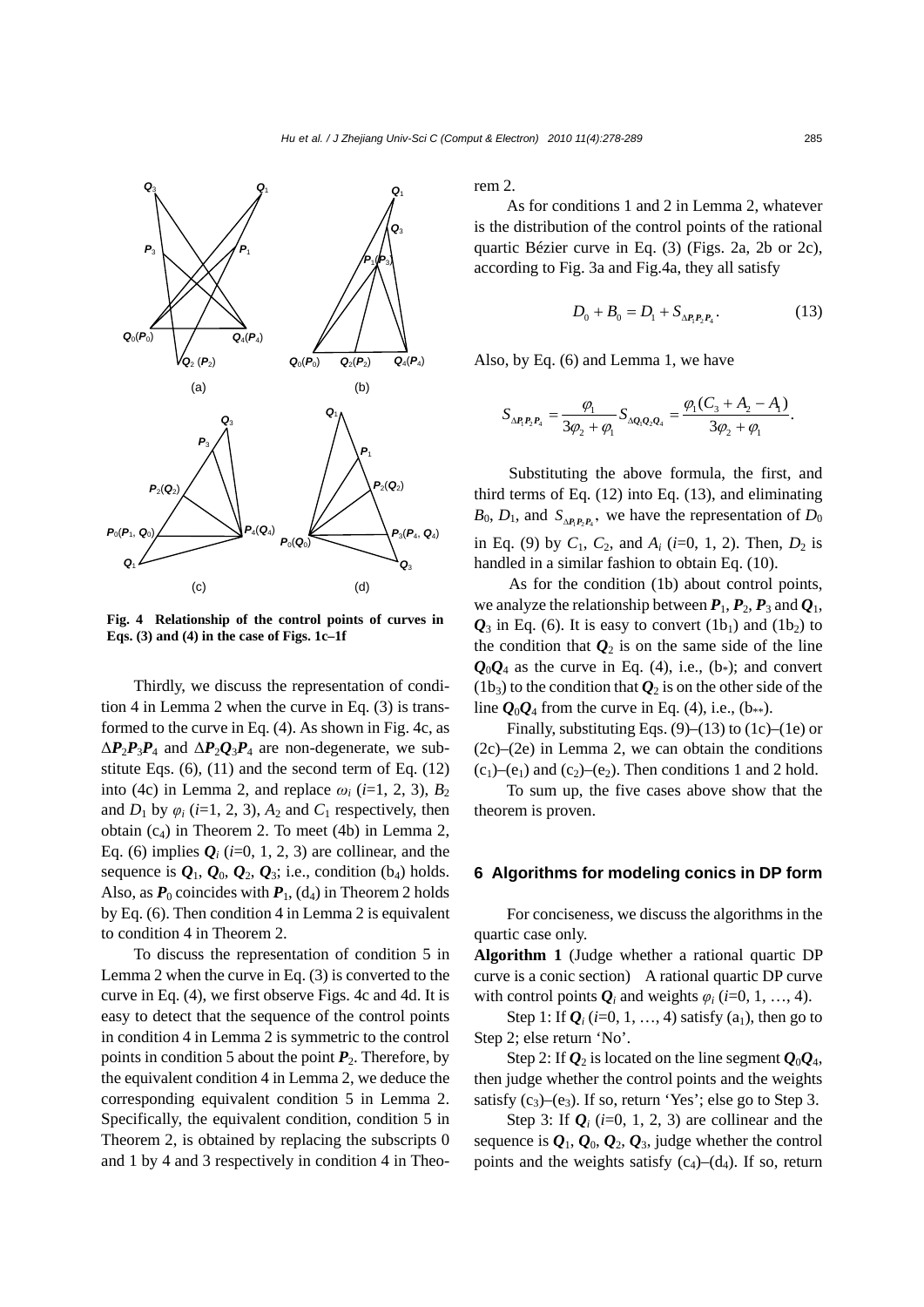

**Fig. 4 Relationship of the control points of curves in Eqs. (3) and (4) in the case of Figs. 1c–1f** 

Thirdly, we discuss the representation of condition 4 in Lemma 2 when the curve in Eq. (3) is transformed to the curve in Eq. (4). As shown in Fig. 4c, as  $\Delta P_2 P_3 P_4$  and  $\Delta P_2 Q_3 P_4$  are non-degenerate, we substitute Eqs. (6), (11) and the second term of Eq. (12) into (4c) in Lemma 2, and replace  $\omega_i$  (*i*=1, 2, 3),  $B_2$ and  $D_1$  by  $\varphi_i$  (*i*=1, 2, 3),  $A_2$  and  $C_1$  respectively, then obtain  $(c_4)$  in Theorem 2. To meet (4b) in Lemma 2, Eq. (6) implies  $Q_i$  (*i*=0, 1, 2, 3) are collinear, and the sequence is  $Q_1$ ,  $Q_0$ ,  $Q_2$ ,  $Q_3$ ; i.e., condition (b<sub>4</sub>) holds. Also, as  $P_0$  coincides with  $P_1$ , (d<sub>4</sub>) in Theorem 2 holds by Eq. (6). Then condition 4 in Lemma 2 is equivalent to condition 4 in Theorem 2.

To discuss the representation of condition 5 in Lemma 2 when the curve in Eq. (3) is converted to the curve in Eq. (4), we first observe Figs. 4c and 4d. It is easy to detect that the sequence of the control points in condition 4 in Lemma 2 is symmetric to the control points in condition 5 about the point  $P_2$ . Therefore, by the equivalent condition 4 in Lemma 2, we deduce the corresponding equivalent condition 5 in Lemma 2. Specifically, the equivalent condition, condition 5 in Theorem 2, is obtained by replacing the subscripts 0 and 1 by 4 and 3 respectively in condition 4 in Theorem 2.

As for conditions 1 and 2 in Lemma 2, whatever is the distribution of the control points of the rational quartic Bézier curve in Eq. (3) (Figs. 2a, 2b or 2c), according to Fig. 3a and Fig.4a, they all satisfy

$$
D_0 + B_0 = D_1 + S_{\Delta P_1 P_2 P_4}.
$$
 (13)

Also, by Eq. (6) and Lemma 1, we have

$$
S_{\Delta P_1 P_2 P_4} = \frac{\varphi_1}{3\varphi_2 + \varphi_1} S_{\Delta Q_1 Q_2 Q_4} = \frac{\varphi_1 (C_3 + A_2 - A_1)}{3\varphi_2 + \varphi_1}.
$$

Substituting the above formula, the first, and third terms of Eq. (12) into Eq. (13), and eliminating  $B_0$ ,  $D_1$ , and  $S_{\Delta P_1 P_2 P_4}$ , we have the representation of  $D_0$ in Eq. (9) by  $C_1$ ,  $C_2$ , and  $A_i$  (*i*=0, 1, 2). Then,  $D_2$  is handled in a similar fashion to obtain Eq. (10).

As for the condition (1b) about control points, we analyze the relationship between  $P_1$ ,  $P_2$ ,  $P_3$  and  $Q_1$ ,  $Q_3$  in Eq. (6). It is easy to convert (1b<sub>1</sub>) and (1b<sub>2</sub>) to the condition that  $Q_2$  is on the same side of the line  $Q_0Q_4$  as the curve in Eq. (4), i.e., (b\*); and convert  $(1b<sub>3</sub>)$  to the condition that  $Q<sub>2</sub>$  is on the other side of the line  $Q_0Q_4$  from the curve in Eq. (4), i.e., (b\*\*).

Finally, substituting Eqs.  $(9)$ – $(13)$  to  $(1c)$ – $(1e)$  or  $(2c)$ – $(2e)$  in Lemma 2, we can obtain the conditions  $(c_1)$ – $(e_1)$  and  $(c_2)$ – $(e_2)$ . Then conditions 1 and 2 hold.

To sum up, the five cases above show that the theorem is proven.

## **6 Algorithms for modeling conics in DP form**

For conciseness, we discuss the algorithms in the quartic case only.

**Algorithm 1** (Judge whether a rational quartic DP curve is a conic section) A rational quartic DP curve with control points  $\boldsymbol{O}_i$  and weights  $\varphi_i$  (*i*=0, 1, …, 4).

Step 1: If  $Q_i$  ( $i=0, 1, ..., 4$ ) satisfy ( $a_1$ ), then go to Step 2; else return 'No'.

Step 2: If  $Q_2$  is located on the line segment  $Q_0Q_4$ , then judge whether the control points and the weights satisfy  $(c_3)$ – $(e_3)$ . If so, return 'Yes'; else go to Step 3.

Step 3: If  $Q_i$  ( $i=0, 1, 2, 3$ ) are collinear and the sequence is  $Q_1$ ,  $Q_0$ ,  $Q_2$ ,  $Q_3$ , judge whether the control points and the weights satisfy  $(c_4)$ – $(d_4)$ . If so, return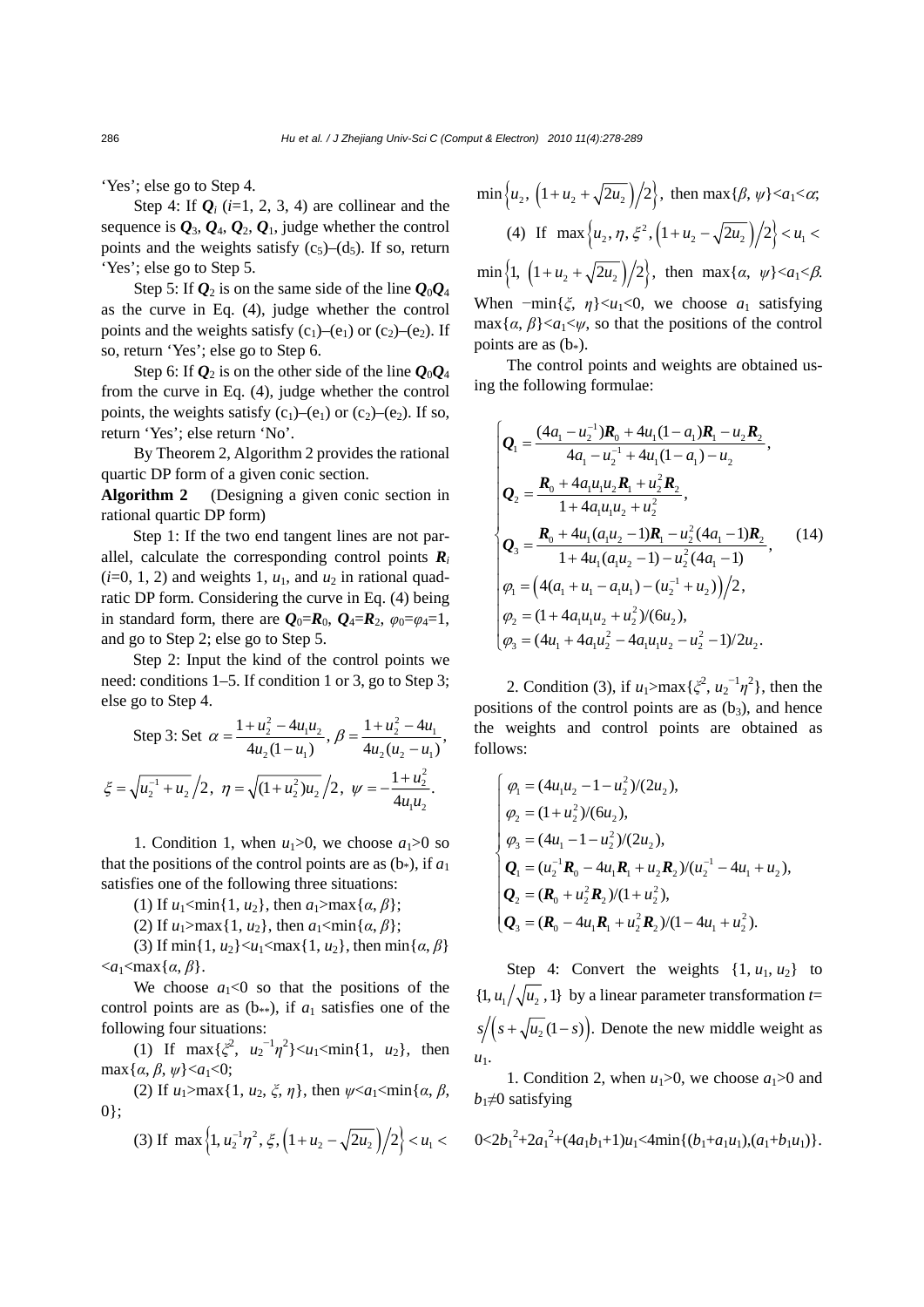'Yes'; else go to Step 4.

Step 4: If  $Q_i$  ( $i=1, 2, 3, 4$ ) are collinear and the sequence is  $Q_3$ ,  $Q_4$ ,  $Q_2$ ,  $Q_1$ , judge whether the control points and the weights satisfy  $(c_5)$ – $(d_5)$ . If so, return 'Yes'; else go to Step 5.

Step 5: If  $Q_2$  is on the same side of the line  $Q_0Q_4$ as the curve in Eq. (4), judge whether the control points and the weights satisfy  $(c_1)$ – $(e_1)$  or  $(c_2)$ – $(e_2)$ . If so, return 'Yes'; else go to Step 6.

Step 6: If  $Q_2$  is on the other side of the line  $Q_0Q_4$ from the curve in Eq. (4), judge whether the control points, the weights satisfy  $(c_1)$ – $(e_1)$  or  $(c_2)$ – $(e_2)$ . If so, return 'Yes'; else return 'No'.

By Theorem 2, Algorithm 2 provides the rational quartic DP form of a given conic section.

**Algorithm 2** (Designing a given conic section in rational quartic DP form)

Step 1: If the two end tangent lines are not parallel, calculate the corresponding control points  $\mathbf{R}_i$  $(i=0, 1, 2)$  and weights 1,  $u_1$ , and  $u_2$  in rational quadratic DP form. Considering the curve in Eq. (4) being in standard form, there are  $Q_0=R_0$ ,  $Q_4=R_2$ ,  $\varphi_0=\varphi_4=1$ , and go to Step 2; else go to Step 5.

Step 2: Input the kind of the control points we need: conditions 1–5. If condition 1 or 3, go to Step 3; else go to Step 4.

Step 3: Set 
$$
\alpha = \frac{1 + u_2^2 - 4u_1u_2}{4u_2(1 - u_1)}, \beta = \frac{1 + u_2^2 - 4u_1}{4u_2(u_2 - u_1)},
$$
  
\n $\xi = \sqrt{u_2^{-1} + u_2}/2, \eta = \sqrt{(1 + u_2^2)u_2}/2, \psi = -\frac{1 + u_2^2}{4u_1u_2}.$ 

1. Condition 1, when  $u_1>0$ , we choose  $a_1>0$  so that the positions of the control points are as  $(b_*)$ , if  $a_1$ satisfies one of the following three situations:

(1) If  $u_1$ <min{1,  $u_2$ }, then  $a_1$ >max{ $\alpha$ ,  $\beta$ };

(2) If  $u_1 > \max\{1, u_2\}$ , then  $a_1 < \min\{\alpha, \beta\}$ ;

(3) If min{1,  $u_2$ } <  $u_1$  < max{1,  $u_2$ }, then min{ $\alpha$ ,  $\beta$ } <*a*1<max{*α*, *β*}.

We choose  $a_1<0$  so that the positions of the control points are as  $(b_{**})$ , if  $a_1$  satisfies one of the following four situations:

(1) If  $\max{\{\xi^2, u_2^{-1}\eta^2\}} < u_1 < \min{\{1, u_2\}}$ , then  $\max\{\alpha, \beta, \psi\} \leq a_1 \leq 0$ ;

(2) If  $u_1 > \max\{1, u_2, \xi, \eta\}$ , then  $\psi < a_1 < \min\{\alpha, \beta\}$ , 0};

(3) If 
$$
\max\left\{1, u_2^{-1}\eta^2, \xi, \left(1 + u_2 - \sqrt{2u_2}\right)/2\right\} < u_1 <
$$

$$
\min\left\{u_2, \left(1 + u_2 + \sqrt{2u_2}\right)/2\right\}, \text{ then } \max\{\beta, \psi\} < a_1 < \alpha;
$$
\n
$$
(4) \text{ If } \max\left\{u_2, \eta, \xi^2, \left(1 + u_2 - \sqrt{2u_2}\right)/2\right\} < u_1 < \min\left\{1, \left(1 + u_2 + \sqrt{2u_2}\right)/2\right\}, \text{ then } \max\{\alpha, \psi\} < a_1 < \beta.
$$
\n
$$
\text{When } -\min\{\xi, \eta\} < u_1 < 0, \text{ we choose } a_1 \text{ satisfying } \max\{\alpha, \beta\} < a_1 < \psi, \text{ so that the positions of the control}
$$

points are as  $(b*)$ . The control points and weights are obtained us-

ing the following formulae:  $\sqrt{ }$ 

$$
Q_{1} = \frac{(4a_{1} - u_{2}^{-1})R_{0} + 4u_{1}(1 - a_{1})R_{1} - u_{2}R_{2}}{4a_{1} - u_{2}^{-1} + 4u_{1}(1 - a_{1}) - u_{2}},
$$
  
\n
$$
Q_{2} = \frac{R_{0} + 4a_{1}u_{1}u_{2}R_{1} + u_{2}^{2}R_{2}}{1 + 4a_{1}u_{1}u_{2} + u_{2}^{2}},
$$
  
\n
$$
Q_{3} = \frac{R_{0} + 4u_{1}(a_{1}u_{2} - 1)R_{1} - u_{2}^{2}(4a_{1} - 1)R_{2}}{1 + 4u_{1}(a_{1}u_{2} - 1) - u_{2}^{2}(4a_{1} - 1)},
$$
  
\n
$$
\varphi_{1} = (4(a_{1} + u_{1} - a_{1}u_{1}) - (u_{2}^{-1} + u_{2}))/2,
$$
  
\n
$$
\varphi_{2} = (1 + 4a_{1}u_{1}u_{2} + u_{2}^{2})/(6u_{2}),
$$
  
\n
$$
\varphi_{3} = (4u_{1} + 4a_{1}u_{2}^{2} - 4a_{1}u_{1}u_{2} - u_{2}^{2} - 1)/2u_{2}.
$$

2. Condition (3), if  $u_1 > \max{\{\xi^2, u_2^{-1}\eta^2\}}$ , then the positions of the control points are as  $(b_3)$ , and hence the weights and control points are obtained as follows:

$$
\begin{cases}\n\varphi_1 = (4u_1u_2 - 1 - u_2^2)/(2u_2), \\
\varphi_2 = (1 + u_2^2)/(6u_2), \\
\varphi_3 = (4u_1 - 1 - u_2^2)/(2u_2), \\
\varrho_1 = (u_2^{-1}\mathbf{R}_0 - 4u_1\mathbf{R}_1 + u_2\mathbf{R}_2)/(u_2^{-1} - 4u_1 + u_2), \\
\varrho_2 = (\mathbf{R}_0 + u_2^2\mathbf{R}_2)/(1 + u_2^2), \\
\varrho_3 = (\mathbf{R}_0 - 4u_1\mathbf{R}_1 + u_2^2\mathbf{R}_2)/(1 - 4u_1 + u_2^2).\n\end{cases}
$$

Step 4: Convert the weights  $\{1, u_1, u_2\}$  to  $\{1, u_1/\sqrt{u_2}, 1\}$  by a linear parameter transformation *t*=  $s/(s + \sqrt{u_2}(1-s))$ . Denote the new middle weight as  $u_1$ .

1. Condition 2, when  $u_1>0$ , we choose  $a_1>0$  and *b*1≠0 satisfying

$$
0<2b_1^2+2a_1^2+(4a_1b_1+1)u_1<4\min\{(b_1+a_1u_1),(a_1+b_1u_1)\}.
$$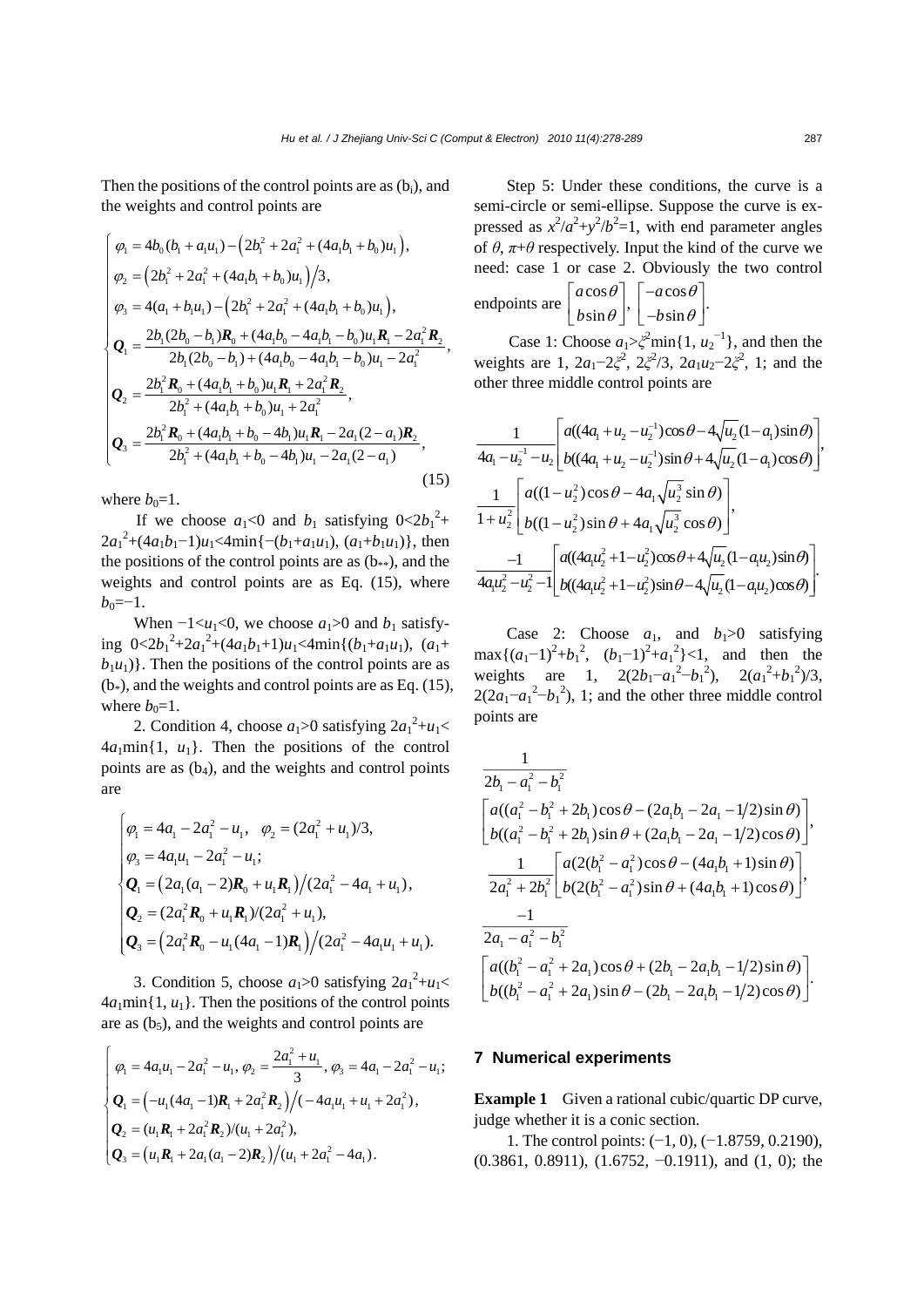Then the positions of the control points are as  $(b_i)$ , and the weights and control points are

$$
\begin{cases}\n\varphi_{1} = 4b_{0}(b_{1} + a_{1}u_{1}) - (2b_{1}^{2} + 2a_{1}^{2} + (4a_{1}b_{1} + b_{0})u_{1}), \\
\varphi_{2} = (2b_{1}^{2} + 2a_{1}^{2} + (4a_{1}b_{1} + b_{0})u_{1})/3, \\
\varphi_{3} = 4(a_{1} + b_{1}u_{1}) - (2b_{1}^{2} + 2a_{1}^{2} + (4a_{1}b_{1} + b_{0})u_{1}), \\
\varphi_{1} = \frac{2b_{1}(2b_{0} - b_{1})R_{0} + (4a_{1}b_{0} - 4a_{1}b_{1} - b_{0})u_{1}R_{1} - 2a_{1}^{2}R_{2}}{2b_{1}(2b_{0} - b_{1}) + (4a_{1}b_{0} - 4a_{1}b_{1} - b_{0})u_{1} - 2a_{1}^{2}}, \\
\varphi_{2} = \frac{2b_{1}^{2}R_{0} + (4a_{1}b_{1} + b_{0})u_{1}R_{1} + 2a_{1}^{2}R_{2}}{2b_{1}^{2} + (4a_{1}b_{1} + b_{0})u_{1} + 2a_{1}^{2}}, \\
\varphi_{3} = \frac{2b_{1}^{2}R_{0} + (4a_{1}b_{1} + b_{0} - 4b_{1})u_{1}R_{1} - 2a_{1}(2 - a_{1})R_{2}}{2b_{1}^{2} + (4a_{1}b_{1} + b_{0} - 4b_{1})u_{1} - 2a_{1}(2 - a_{1})}, \\
(15)\n\end{cases}
$$

where  $b_0=1$ .

If we choose  $a_1 < 0$  and  $b_1$  satisfying  $0 < 2b_1^2 +$  $2a_1^2 + (4a_1b_1 - 1)u_1 < 4\min\{-(b_1 + a_1u_1), (a_1 + b_1u_1)\},\$ then the positions of the control points are as  $(b_{**})$ , and the weights and control points are as Eq. (15), where  $b_0=-1$ .

When  $-1 \lt u_1 \lt 0$ , we choose  $a_1 > 0$  and  $b_1$  satisfying  $0 < 2b_1^2 + 2a_1^2 + (4a_1b_1 + 1)u_1 < 4\min\{(b_1+a_1u_1), (a_1+a_2u_1)\}$  $b_1u_1$ }. Then the positions of the control points are as (b\*), and the weights and control points are as Eq. (15), where  $b_0=1$ .

2. Condition 4, choose  $a_1>0$  satisfying  $2a_1^2 + u_1 <$  $4a_1$ min{1,  $u_1$ }. Then the positions of the control points are as  $(b<sub>4</sub>)$ , and the weights and control points are

$$
\begin{cases}\n\varphi_1 = 4a_1 - 2a_1^2 - u_1, & \varphi_2 = (2a_1^2 + u_1)/3, \\
\varphi_3 = 4a_1u_1 - 2a_1^2 - u_1; \\
\mathcal{Q}_1 = (2a_1(a_1 - 2)\mathbf{R}_0 + u_1\mathbf{R}_1)/(2a_1^2 - 4a_1 + u_1), \\
\mathcal{Q}_2 = (2a_1^2\mathbf{R}_0 + u_1\mathbf{R}_1)/(2a_1^2 + u_1), \\
\mathcal{Q}_3 = (2a_1^2\mathbf{R}_0 - u_1(4a_1 - 1)\mathbf{R}_1)/(2a_1^2 - 4a_1u_1 + u_1).\n\end{cases}
$$

3. Condition 5, choose  $a_1>0$  satisfying  $2a_1^2+u_1 <$  $4a_1$ min $\{1, u_1\}$ . Then the positions of the control points are as  $(b_5)$ , and the weights and control points are

$$
\begin{cases}\n\varphi_1 = 4a_1u_1 - 2a_1^2 - u_1, \varphi_2 = \frac{2a_1^2 + u_1}{3}, \varphi_3 = 4a_1 - 2a_1^2 - u_1; \\
\mathcal{Q}_1 = \left(-u_1(4a_1 - 1)\mathbf{R}_1 + 2a_1^2\mathbf{R}_2\right) / (-4a_1u_1 + u_1 + 2a_1^2), \\
\mathcal{Q}_2 = (u_1\mathbf{R}_1 + 2a_1^2\mathbf{R}_2) / (u_1 + 2a_1^2), \\
\mathcal{Q}_3 = \left(u_1\mathbf{R}_1 + 2a_1(a_1 - 2)\mathbf{R}_2\right) / (u_1 + 2a_1^2 - 4a_1).\n\end{cases}
$$

Step 5: Under these conditions, the curve is a semi-circle or semi-ellipse. Suppose the curve is expressed as  $x^2/a^2+y^2/b^2=1$ , with end parameter angles of  $\theta$ ,  $\pi+\theta$  respectively. Input the kind of the curve we need: case 1 or case 2. Obviously the two control endpoints are  $\begin{bmatrix} a\cos\theta \\ b\sin\theta \end{bmatrix}$ ,  $\begin{bmatrix} -a\cos\theta \\ -b\sin\theta \end{bmatrix}$ .  $b \sin \theta$  | |  $-b$  $\theta$  |  $-a\cos\theta$  $\theta$  |  $-b\sin\theta$  $\lceil a \cos \theta \rceil$   $\lceil -a \cos \theta \rceil$  $\lfloor b \sin \theta \rfloor$ '  $\lfloor -b \sin \theta \rfloor$ 

Case 1: Choose  $a_1 > \xi^2 \min\{1, u_2^{-1}\}\$ , and then the weights are 1,  $2a_1 - 2\xi^2$ ,  $2\xi^2/3$ ,  $2a_1u_2 - 2\xi^2$ , 1; and the other three middle control points are

$$
\frac{1}{4a_1 - u_2^{-1} - u_2} \left[ a((4a_1 + u_2 - u_2^{-1})\cos\theta - 4\sqrt{u_2}(1 - a_1)\sin\theta) \right]
$$
  

$$
\frac{1}{1 + u_2^2} \left[ a((1 - u_2^2)\cos\theta - 4a_1\sqrt{u_2^3}\sin\theta) \right]
$$
  

$$
\frac{1}{1 + u_2^2} \left[ a((1 - u_2^2)\cos\theta - 4a_1\sqrt{u_2^3}\sin\theta) \right]
$$
  

$$
\frac{-1}{4a_1u_2^2 - u_2^2 - 1} \left[ a((4a_1u_2^2 + 1 - u_2^2)\cos\theta + 4\sqrt{u_2}(1 - a_1u_2)\sin\theta) \right]
$$
  

$$
\frac{-1}{4a_1u_2^2 - u_2^2 - 1} \left[ b((4a_1u_2^2 + 1 - u_2^2)\sin\theta - 4\sqrt{u_2}(1 - a_1u_2)\cos\theta) \right].
$$

Case 2: Choose  $a_1$ , and  $b_1>0$  satisfying  $\max\{(a_1-1)^2+b_1^2, (b_1-1)^2+a_1^2\}<1$ , and then the weights are 1,  $2(2b_1 - a_1^2 - b_1^2)$ ,  $2(a_1^2 + b_1^2)/3$ ,  $2(2a_1 - a_1^2 - b_1^2)$ , 1; and the other three middle control points are

$$
\frac{1}{2b_1 - a_1^2 - b_1^2}
$$
\n
$$
\left[ a((a_1^2 - b_1^2 + 2b_1)\cos\theta - (2a_1b_1 - 2a_1 - 1/2)\sin\theta) \right]
$$
\n
$$
b((a_1^2 - b_1^2 + 2b_1)\sin\theta + (2a_1b_1 - 2a_1 - 1/2)\cos\theta) \right]
$$
\n
$$
\frac{1}{2a_1^2 + 2b_1^2} \left[ a(2(b_1^2 - a_1^2)\cos\theta - (4a_1b_1 + 1)\sin\theta) \right]
$$
\n
$$
\frac{-1}{2a_1 - a_1^2 - b_1^2}
$$
\n
$$
\left[ a((b_1^2 - a_1^2 + 2a_1)\cos\theta + (2b_1 - 2a_1b_1 - 1/2)\sin\theta) \right]
$$
\n
$$
b((b_1^2 - a_1^2 + 2a_1)\sin\theta - (2b_1 - 2a_1b_1 - 1/2)\cos\theta) \right].
$$

#### **7 Numerical experiments**

**Example 1** Given a rational cubic/quartic DP curve, judge whether it is a conic section.

1. The control points: (−1, 0), (−1.8759, 0.2190), (0.3861, 0.8911), (1.6752, −0.1911), and (1, 0); the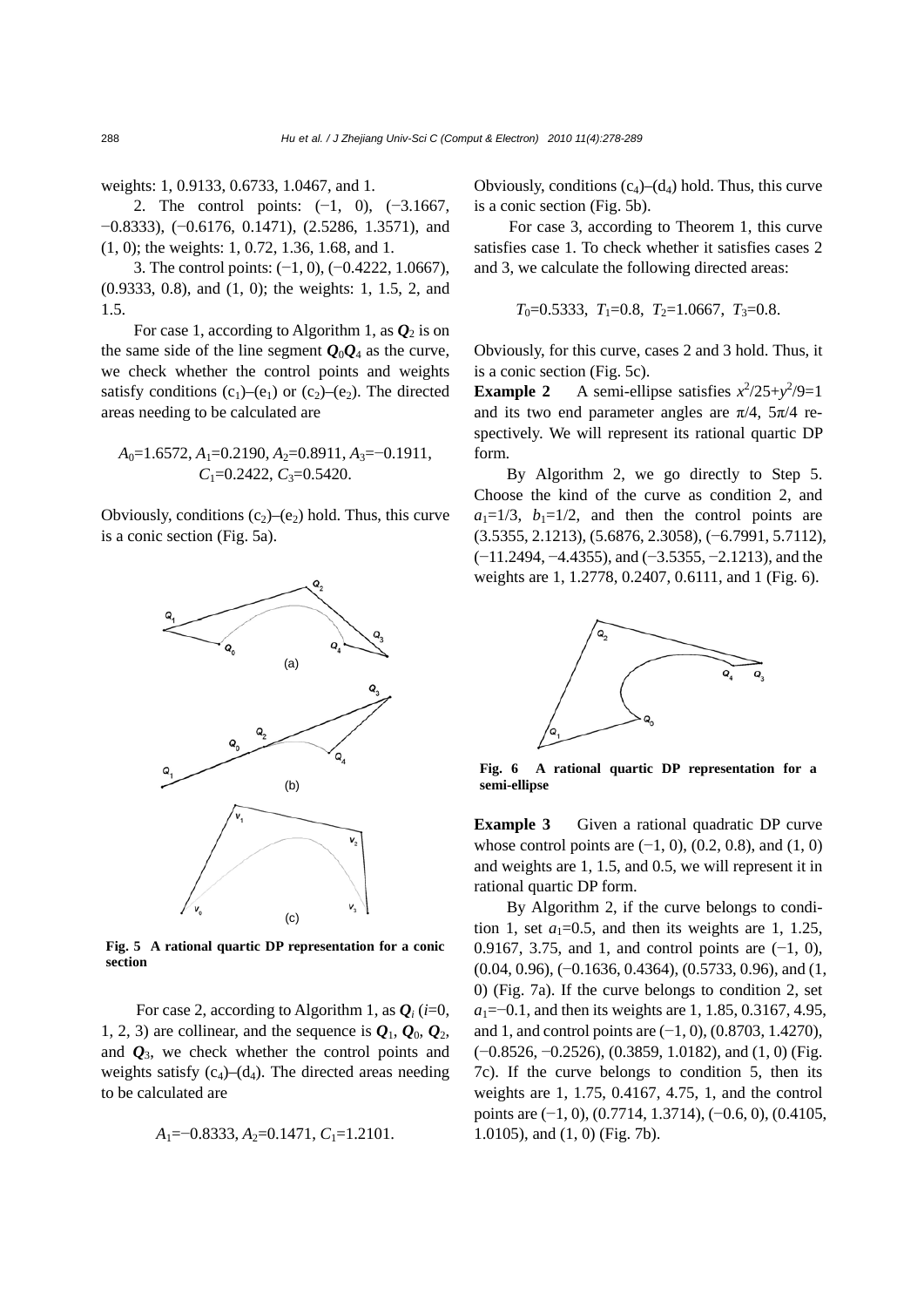weights: 1, 0.9133, 0.6733, 1.0467, and 1.

2. The control points: (−1, 0), (−3.1667, −0.8333), (−0.6176, 0.1471), (2.5286, 1.3571), and (1, 0); the weights: 1, 0.72, 1.36, 1.68, and 1.

3. The control points: (−1, 0), (−0.4222, 1.0667), (0.9333, 0.8), and (1, 0); the weights: 1, 1.5, 2, and 1.5.

For case 1, according to Algorithm 1, as  $Q_2$  is on the same side of the line segment  $Q_0Q_4$  as the curve, we check whether the control points and weights satisfy conditions  $(c_1)$ – $(e_1)$  or  $(c_2)$ – $(e_2)$ . The directed areas needing to be calculated are

$$
A_0=1.6572
$$
,  $A_1=0.2190$ ,  $A_2=0.8911$ ,  $A_3=-0.1911$ ,  
 $C_1=0.2422$ ,  $C_3=0.5420$ .

Obviously, conditions  $(c_2)$ – $(e_2)$  hold. Thus, this curve is a conic section (Fig. 5a).



**Fig. 5 A rational quartic DP representation for a conic section** 

For case 2, according to Algorithm 1, as  $Q_i$  (*i*=0, 1, 2, 3) are collinear, and the sequence is  $Q_1$ ,  $Q_0$ ,  $Q_2$ , and  $Q_3$ , we check whether the control points and weights satisfy  $(c_4)$ – $(d_4)$ . The directed areas needing to be calculated are

$$
A_1
$$
=-0.8333,  $A_2$ =0.1471,  $C_1$ =1.2101.

Obviously, conditions  $(c_4)$ – $(d_4)$  hold. Thus, this curve is a conic section (Fig. 5b).

For case 3, according to Theorem 1, this curve satisfies case 1. To check whether it satisfies cases 2 and 3, we calculate the following directed areas:

$$
T_0=0.5333
$$
,  $T_1=0.8$ ,  $T_2=1.0667$ ,  $T_3=0.8$ .

Obviously, for this curve, cases 2 and 3 hold. Thus, it is a conic section (Fig. 5c).

**Example 2** A semi-ellipse satisfies  $x^2/25+y^2/9=1$ and its two end parameter angles are  $\pi/4$ ,  $5\pi/4$  respectively. We will represent its rational quartic DP form.

By Algorithm 2, we go directly to Step 5. Choose the kind of the curve as condition 2, and  $a_1=1/3$ ,  $b_1=1/2$ , and then the control points are (3.5355, 2.1213), (5.6876, 2.3058), (−6.7991, 5.7112), (−11.2494, −4.4355), and (−3.5355, −2.1213), and the weights are 1, 1.2778, 0.2407, 0.6111, and 1 (Fig. 6).



**Fig. 6 A rational quartic DP representation for a semi-ellipse** 

**Example 3** Given a rational quadratic DP curve whose control points are  $(-1, 0)$ ,  $(0.2, 0.8)$ , and  $(1, 0)$ and weights are 1, 1.5, and 0.5, we will represent it in rational quartic DP form.

By Algorithm 2, if the curve belongs to condition 1, set  $a_1=0.5$ , and then its weights are 1, 1.25, 0.9167, 3.75, and 1, and control points are (−1, 0),  $(0.04, 0.96), (-0.1636, 0.4364), (0.5733, 0.96),$  and  $(1,$ 0) (Fig. 7a). If the curve belongs to condition 2, set *a*<sub>1</sub>=−0.1, and then its weights are 1, 1.85, 0.3167, 4.95, and 1, and control points are (−1, 0), (0.8703, 1.4270), (−0.8526, −0.2526), (0.3859, 1.0182), and (1, 0) (Fig. 7c). If the curve belongs to condition 5, then its weights are 1, 1.75, 0.4167, 4.75, 1, and the control points are (−1, 0), (0.7714, 1.3714), (−0.6, 0), (0.4105, 1.0105), and (1, 0) (Fig. 7b).